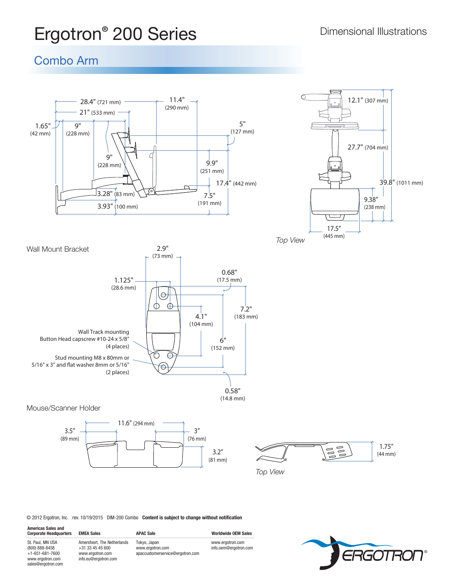# **Ergotron<sup>®</sup> 200 Series Dimensional Illustrations**

## Combo Arm



© 2012 Ergotron, Inc. rev. 10/19/2015 DIM-200 Combo **Content is subject to change without notification**

**Americas Sales and** 

sales@ergotron.com

Corporate Headquarters EMEA Sales **APAC Sale** APAC Sale Worldwide OEM Sales St. Paul, MN USA (800) 888-8458 +1-651-681-7600 www.ergotron.com Amersfoort, The Netherlands +31 33 45 45 600 www.ergotron.com info.eu@ergotron.com

Tokyo, Japan www.ergotron.com apaccustomerservice@ergotron.com www.ergotron.com info.oem@ergotron.com